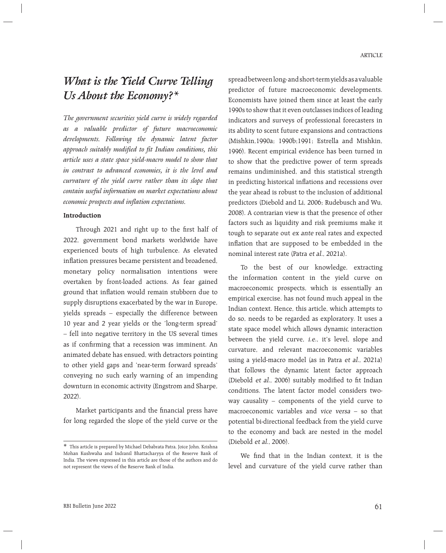# *What is the Yield Curve Telling Us About the Economy?\**

*The government securities yield curve is widely regarded as a valuable predictor of future macroeconomic developments. Following the dynamic latent factor approach suitably modified to fit Indian conditions, this article uses a state space yield-macro model to show that in contrast to advanced economies, it is the level and curvature of the yield curve rather than its slope that contain useful information on market expectations about economic prospects and inflation expectations.*

#### **Introduction**

Through 2021 and right up to the first half of 2022, government bond markets worldwide have experienced bouts of high turbulence. As elevated inflation pressures became persistent and broadened, monetary policy normalisation intentions were overtaken by front-loaded actions. As fear gained ground that inflation would remain stubborn due to supply disruptions exacerbated by the war in Europe, yields spreads – especially the difference between 10 year and 2 year yields or the 'long-term spread' – fell into negative territory in the US several times as if confirming that a recession was imminent. An animated debate has ensued, with detractors pointing to other yield gaps and 'near-term forward spreads' conveying no such early warning of an impending downturn in economic activity (Engstrom and Sharpe, 2022).

Market participants and the financial press have for long regarded the slope of the yield curve or the spread between long- and short-term yields as a valuable predictor of future macroeconomic developments. Economists have joined them since at least the early 1990s to show that it even outclasses indices of leading indicators and surveys of professional forecasters in its ability to scent future expansions and contractions (Mishkin,1990a; 1990b;1991; Estrella and Mishkin, 1996). Recent empirical evidence has been turned in to show that the predictive power of term spreads remains undiminished, and this statistical strength in predicting historical inflations and recessions over the year ahead is robust to the inclusion of additional predictors (Diebold and Li, 2006; Rudebusch and Wu, 2008). A contrarian view is that the presence of other factors such as liquidity and risk premiums make it tough to separate out ex ante real rates and expected inflation that are supposed to be embedded in the nominal interest rate (Patra et al., 2021a).

 To the best of our knowledge, extracting the information content in the yield curve on macroeconomic prospects, which is essentially an empirical exercise, has not found much appeal in the Indian context. Hence, this article, which attempts to do so, needs to be regarded as exploratory. It uses a state space model which allows dynamic interaction between the yield curve, *i.e.*, it's level, slope and curvature, and relevant macroeconomic variables using a yield-macro model (as in Patra et al., 2021a) that follows the dynamic latent factor approach (Diebold et al., 2006) suitably modified to fit Indian conditions. The latent factor model considers twoway causality – components of the yield curve to macroeconomic variables and vice versa – so that potential bi-directional feedback from the yield curve to the economy and back are nested in the model (Diebold et al., 2006).

We find that in the Indian context, it is the level and curvature of the yield curve rather than

<sup>\*</sup> This article is prepared by Michael Debabrata Patra, Joice John, Krishna Mohan Kushwaha and Indranil Bhattacharyya of the Reserve Bank of India. The views expressed in this article are those of the authors and do not represent the views of the Reserve Bank of India.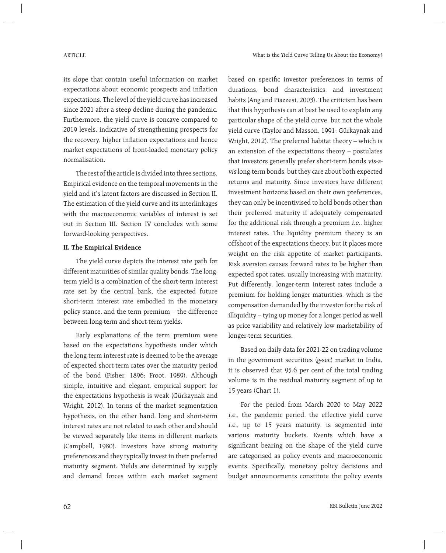its slope that contain useful information on market expectations about economic prospects and inflation expectations. The level of the yield curve has increased since 2021 after a steep decline during the pandemic. Furthermore, the yield curve is concave compared to 2019 levels, indicative of strengthening prospects for the recovery, higher inflation expectations and hence market expectations of front-loaded monetary policy normalisation.

 The rest of the article is divided into three sections. Empirical evidence on the temporal movements in the yield and it's latent factors are discussed in Section II. The estimation of the yield curve and its interlinkages with the macroeconomic variables of interest is set out in Section III. Section IV concludes with some forward-looking perspectives.

## **II. The Empirical Evidence**

 The yield curve depicts the interest rate path for different maturities of similar quality bonds. The longterm yield is a combination of the short-term interest rate set by the central bank, the expected future short-term interest rate embodied in the monetary policy stance, and the term premium – the difference between long-term and short-term yields.

 Early explanations of the term premium were based on the expectations hypothesis under which the long-term interest rate is deemed to be the average of expected short-term rates over the maturity period of the bond (Fisher, 1896; Froot, 1989). Although simple, intuitive and elegant, empirical support for the expectations hypothesis is weak (Gürkaynak and Wright, 2012). In terms of the market segmentation hypothesis, on the other hand, long and short-term interest rates are not related to each other and should be viewed separately like items in different markets (Campbell, 1980). Investors have strong maturity preferences and they typically invest in their preferred maturity segment. Yields are determined by supply and demand forces within each market segment based on specific investor preferences in terms of durations, bond characteristics, and investment habits (Ang and Piazzesi, 2003). The criticism has been that this hypothesis can at best be used to explain any particular shape of the yield curve, but not the whole yield curve (Taylor and Masson, 1991; Gürkaynak and Wright, 2012). The preferred habitat theory – which is an extension of the expectations theory – postulates that investors generally prefer short-term bonds vis-avis long-term bonds, but they care about both expected returns and maturity. Since investors have different investment horizons based on their own preferences, they can only be incentivised to hold bonds other than their preferred maturity if adequately compensated for the additional risk through a premium i.e., higher interest rates. The liquidity premium theory is an offshoot of the expectations theory, but it places more weight on the risk appetite of market participants. Risk aversion causes forward rates to be higher than expected spot rates, usually increasing with maturity. Put differently, longer-term interest rates include a premium for holding longer maturities, which is the compensation demanded by the investor for the risk of illiquidity – tying up money for a longer period as well as price variability and relatively low marketability of longer-term securities.

 Based on daily data for 2021-22 on trading volume in the government securities (g-sec) market in India, it is observed that 95.6 per cent of the total trading volume is in the residual maturity segment of up to 15 years (Chart 1).

 For the period from March 2020 to May 2022 i.e., the pandemic period, the effective yield curve i.e., up to 15 years maturity, is segmented into various maturity buckets. Events which have a significant bearing on the shape of the yield curve are categorised as policy events and macroeconomic events. Specifically, monetary policy decisions and budget announcements constitute the policy events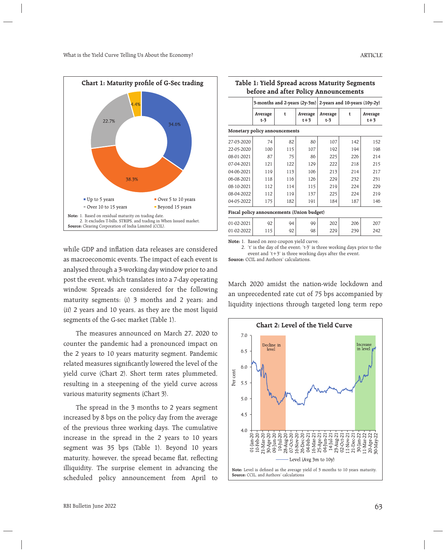

while GDP and inflation data releases are considered as macroeconomic events. The impact of each event is analysed through a 3-working day window prior to and post the event, which translates into a 7-day operating window. Spreads are considered for the following maturity segments: (i) 3 months and 2 years; and (ii) 2 years and 10 years, as they are the most liquid segments of the G-sec market (Table 1).

 The measures announced on March 27, 2020 to counter the pandemic had a pronounced impact on the 2 years to 10 years maturity segment. Pandemic related measures significantly lowered the level of the yield curve (Chart 2). Short term rates plummeted, resulting in a steepening of the yield curve across various maturity segments (Chart 3).

The spread in the 3 months to 2 years segment increased by 8 bps on the policy day from the average of the previous three working days. The cumulative increase in the spread in the 2 years to 10 years segment was 35 bps (Table 1). Beyond 10 years maturity, however, the spread became flat, reflecting illiquidity. The surprise element in advancing the scheduled policy announcement from April to

|                                            | 3-months and 2-years $(2y-3m)$ |     |                  | 2-years and $10$ -years $(10y-2y)$ |     |                  |
|--------------------------------------------|--------------------------------|-----|------------------|------------------------------------|-----|------------------|
|                                            | Average<br>$t-3$               | t   | Average<br>$t+3$ | Average<br>$t-3$                   | t   | Average<br>$t+3$ |
| Monetary policy announcements              |                                |     |                  |                                    |     |                  |
| 27-03-2020                                 | 74                             | 82  | 80               | 107                                | 142 | 152              |
| 22-05-2020                                 | 100                            | 115 | 107              | 192                                | 194 | 198              |
| 08-01-2021                                 | 87                             | 75  | 86               | 225                                | 226 | 214              |
| 07-04-2021                                 | 121                            | 122 | 129              | 222                                | 218 | 215              |
| 04-06-2021                                 | 119                            | 113 | 106              | 213                                | 214 | 217              |
| 06-08-2021                                 | 118                            | 116 | 126              | 229                                | 232 | 231              |
| 08-10-2021                                 | 112                            | 114 | 115              | 219                                | 224 | 229              |
| 08-04-2022                                 | 112                            | 119 | 137              | 225                                | 224 | 219              |
| 04-05-2022                                 | 175                            | 182 | 191              | 184                                | 187 | 146              |
| Fiscal policy announcements (Union budget) |                                |     |                  |                                    |     |                  |
| 01-02-2021                                 | 92                             | 94  | 99               | 202                                | 206 | 207              |
| 01-02-2022                                 | 115                            | 92  | 98               | 229                                | 239 | 242              |

**Table 1: Yield Spread across Maturity Segments before and after Policy Announcements**

**Note:** 1. Based on zero coupon yield curve.

 2. 't' is the day of the event; 't-3' is three working days prior to the event and 't+3' is three working days after the event.

**Source:** CCIL and Authors' calculations.

March 2020 amidst the nation-wide lockdown and an unprecedented rate cut of 75 bps accompanied by liquidity injections through targeted long term repo

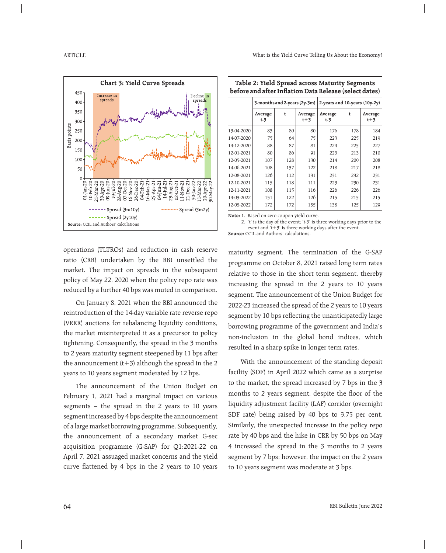

| Table 2: Yield Spread across Maturity Segments         |  |
|--------------------------------------------------------|--|
| before and after Inflation Data Release (select dates) |  |

|            | 3-months and 2-years (2y-3m) |     |                    | 2-years and $10$ -years $(10y-2y)$ |     |                    |
|------------|------------------------------|-----|--------------------|------------------------------------|-----|--------------------|
|            | Average<br>$t-3$             | t   | Average<br>$t + 3$ | Average<br>t-3                     | t   | Average<br>$t + 3$ |
| 13-04-2020 | 83                           | 80  | 80                 | 176                                | 178 | 184                |
| 14-07-2020 | 75                           | 64  | 75                 | 223                                | 225 | 219                |
| 14-12-2020 | 88                           | 87  | 81                 | 224                                | 225 | 227                |
| 12-01-2021 | 80                           | 86  | 91                 | 223                                | 213 | 210                |
| 12-05-2021 | 107                          | 128 | 130                | 214                                | 209 | 208                |
| 14-06-2021 | 108                          | 137 | 122                | 218                                | 217 | 218                |
| 12-08-2021 | 126                          | 112 | 131                | 231                                | 232 | 231                |
| 12-10-2021 | 115                          | 118 | 111                | 223                                | 230 | 231                |
| 12-11-2021 | 108                          | 115 | 116                | 226                                | 226 | 226                |
| 14-03-2022 | 151                          | 122 | 126                | 215                                | 215 | 215                |
| 12-05-2022 | 172                          | 172 | 155                | 138                                | 125 | 129                |

**Note:** 1. Based on zero coupon yield curve.

 2. 't' is the day of the event; 't-3' is three working days prior to the event and 't+3' is three working days after the event. **Source:** CCIL and Authors' calculations.

operations (TLTROs) and reduction in cash reserve ratio (CRR) undertaken by the RBI unsettled the market. The impact on spreads in the subsequent policy of May 22, 2020 when the policy repo rate was reduced by a further 40 bps was muted in comparison.

 On January 8, 2021 when the RBI announced the reintroduction of the 14-day variable rate reverse repo (VRRR) auctions for rebalancing liquidity conditions, the market misinterpreted it as a precursor to policy tightening. Consequently, the spread in the 3 months to 2 years maturity segment steepened by 11 bps after the announcement  $(t+3)$  although the spread in the 2 years to 10 years segment moderated by 12 bps.

 The announcement of the Union Budget on February 1, 2021 had a marginal impact on various segments – the spread in the 2 years to 10 years segment increased by 4 bps despite the announcement of a large market borrowing programme. Subsequently, the announcement of a secondary market G-sec acquisition programme (G-SAP) for Q1:2021-22 on April 7, 2021 assuaged market concerns and the yield curve flattened by 4 bps in the 2 years to 10 years maturity segment. The termination of the G-SAP programme on October 8, 2021 raised long term rates relative to those in the short term segment, thereby increasing the spread in the 2 years to 10 years segment. The announcement of the Union Budget for 2022-23 increased the spread of the 2 years to 10 years segment by 10 bps reflecting the unanticipatedly large borrowing programme of the government and India's non-inclusion in the global bond indices, which resulted in a sharp spike in longer term rates.

 With the announcement of the standing deposit facility (SDF) in April 2022 which came as a surprise to the market, the spread increased by 7 bps in the 3 months to 2 years segment, despite the floor of the liquidity adjustment facility (LAF) corridor (overnight SDF rate) being raised by 40 bps to 3.75 per cent. Similarly, the unexpected increase in the policy repo rate by 40 bps and the hike in CRR by 50 bps on May 4 increased the spread in the 3 months to 2 years segment by 7 bps; however, the impact on the 2 years to 10 years segment was moderate at 3 bps.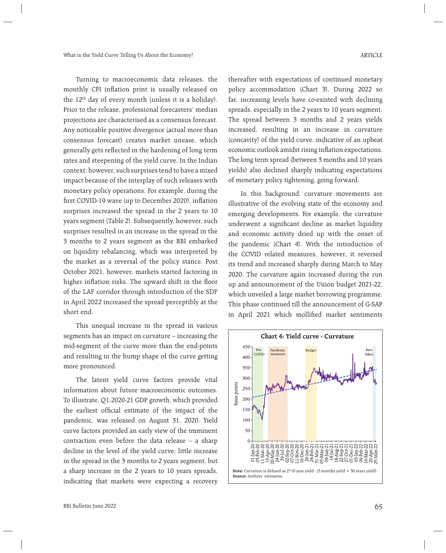Turning to macroeconomic data releases, the monthly CPI inflation print is usually released on the 12th day of every month (unless it is a holiday). Prior to the release, professional forecasters' median projections are characterised as a consensus forecast. Any noticeable positive divergence (actual more than consensus forecast) creates market unease, which generally gets reflected in the hardening of long term rates and steepening of the yield curve. In the Indian context, however, such surprises tend to have a mixed impact because of the interplay of such releases with monetary policy operations. For example, during the first COVID-19 wave (up to December 2020), inflation surprises increased the spread in the 2 years to 10 years segment (Table 2). Subsequently, however, such surprises resulted in an increase in the spread in the 3 months to 2 years segment as the RBI embarked on liquidity rebalancing, which was interpreted by the market as a reversal of the policy stance. Post October 2021, however, markets started factoring in higher inflation risks. The upward shift in the floor of the LAF corridor through introduction of the SDF in April 2022 increased the spread perceptibly at the

 This unequal increase in the spread in various segments has an impact on curvature – increasing the mid-segment of the curve more than the end-points and resulting in the hump shape of the curve getting more pronounced.

 The latent yield curve factors provide vital information about future macroeconomic outcomes. To illustrate, Q1:2020-21 GDP growth, which provided the earliest official estimate of the impact of the pandemic, was released on August 31, 2020. Yield curve factors provided an early view of the imminent contraction even before the data release – a sharp decline in the level of the yield curve; little increase in the spread in the 3 months to 2 years segment, but a sharp increase in the 2 years to 10 years spreads, indicating that markets were expecting a recovery

thereafter with expectations of continued monetary policy accommodation (Chart 3). During 2022 so far, increasing levels have co-existed with declining spreads, especially in the 2 years to 10 years segment. The spread between 3 months and 2 years yields increased, resulting in an increase in curvature (concavity) of the yield curve, indicative of an upbeat economic outlook amidst rising inflation expectations. The long term spread (between 3 months and 10 years yields) also declined sharply indicating expectations of monetary policy tightening, going forward.

 In this background, curvature movements are illustrative of the evolving state of the economy and emerging developments. For example, the curvature underwent a significant decline as market liquidity and economic activity dried up with the onset of the pandemic (Chart 4). With the introduction of the COVID related measures, however, it reversed its trend and increased sharply during March to May 2020. The curvature again increased during the run up and announcement of the Union budget 2021-22, which unveiled a large market borrowing programme. This phase continued till the announcement of G-SAP in April 2021 which mollified market sentiments



short end.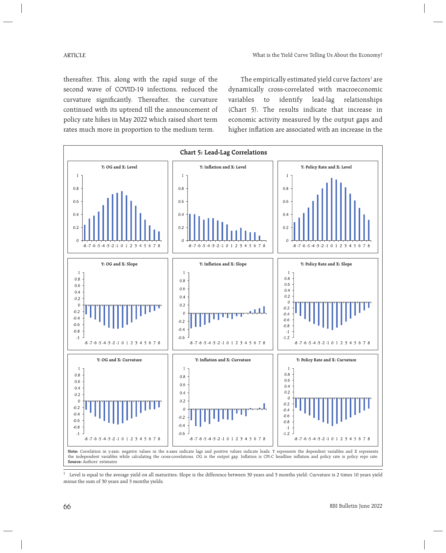thereafter. This, along with the rapid surge of the second wave of COVID-19 infections, reduced the curvature significantly. Thereafter, the curvature continued with its uptrend till the announcement of policy rate hikes in May 2022 which raised short term rates much more in proportion to the medium term.

The empirically estimated yield curve factors<sup>1</sup> are dynamically cross-correlated with macroeconomic variables to identify lead-lag relationships (Chart 5). The results indicate that increase in economic activity measured by the output gaps and higher inflation are associated with an increase in the



 $1$  Level is equal to the average yield on all maturities; Slope is the difference between 30 years and 3 months yield; Curvature is 2 times 10 years yield minus the sum of 30 years and 3 months yields.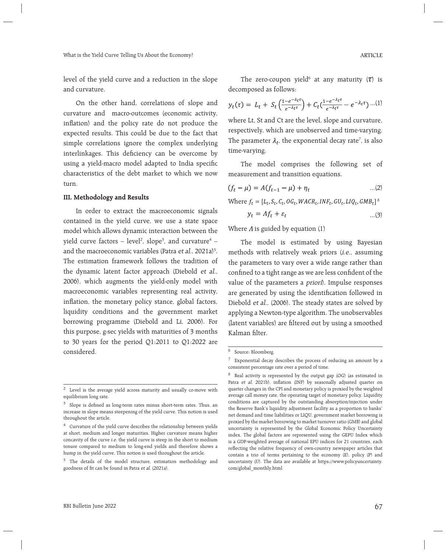level of the yield curve and a reduction in the slope and curvature.

 On the other hand, correlations of slope and curvature and macro-outcomes (economic activity, inflation) and the policy rate do not produce the expected results. This could be due to the fact that simple correlations ignore the complex underlying interlinkages. This deficiency can be overcome by using a yield-macro model adapted to India specific characteristics of the debt market to which we now turn.

### **III. Methodology and Results**

 In order to extract the macroeconomic signals contained in the yield curve, we use a state space model which allows dynamic interaction between the yield curve factors – level<sup>2</sup>, slope<sup>3</sup>, and curvature<sup>4</sup> – and the macroeconomic variables (Patra *et al.*, 2021a)<sup>5</sup>. The estimation framework follows the tradition of the dynamic latent factor approach (Diebold et al., 2006), which augments the yield-only model with macroeconomic variables representing real activity, inflation, the monetary policy stance, global factors, liquidity conditions and the government market borrowing programme (Diebold and Li, 2006). For this purpose, g-sec yields with maturities of 3 months to 30 years for the period Q1:2011 to Q1:2022 are considered.

The zero-coupon yield<sup>6</sup> at any maturity ( $\tau$ ) is decomposed as follows:

$$
y_t(\tau) = L_t + S_t \left( \frac{1 - e^{-\lambda_t \tau}}{e^{-\lambda_t \tau}} \right) + C_t \left( \frac{1 - e^{-\lambda_t \tau}}{e^{-\lambda_t \tau}} - e^{-\lambda_t \tau} \right) \dots (1)
$$

where Lt, St and Ct are the level, slope and curvature, respectively, which are unobserved and time-varying. The parameter  $\lambda_t$ , the exponential decay rate<sup>7</sup>, is also time-varying.

 The model comprises the following set of measurement and transition equations.

$$
(f_t - \mu) = A(f_{t-1} - \mu) + \eta_t \tag{2}
$$

Where  $f_t = [L_t, S_t, C_t, OG_t, WACR_t, INF_t, GU_t, LIQ_t, GMB_t]^8$ 

$$
y_t = Af_t + \varepsilon_t \tag{3}
$$

Where  $\Lambda$  is guided by equation (1)

 The model is estimated by using Bayesian methods with relatively weak priors (i.e., assuming the parameters to vary over a wide range rather than confined to a tight range as we are less confident of the value of the parameters a priori). Impulse responses are generated by using the identification followed in Diebold et al., (2006). The steady states are solved by applying a Newton-type algorithm. The unobservables (latent variables) are filtered out by using a smoothed Kalman filter.

<sup>2</sup> Level is the average yield across maturity and usually co-move with equilibrium long rate.

 $3$  Slope is defined as long-term rates minus short-term rates. Thus, an increase in slope means steepening of the yield curve. This notion is used throughout the article.

<sup>4</sup> Curvature of the yield curve describes the relationship between yields at short, medium and longer maturities. Higher curvature means higher concavity of the curve i.e. the yield curve is steep in the short to medium tenure compared to medium to long-end yields and therefore shows a hump in the yield curve. This notion is used throughout the article.

<sup>&</sup>lt;sup>5</sup> The details of the model structure, estimation methodology and goodness of fit can be found in Patra et al. (2021a).

<sup>6</sup> Source: Bloomberg.

<sup>7</sup> Exponential decay describes the process of reducing an amount by a consistent percentage rate over a period of time.

<sup>8</sup> Real activity is represented by the output gap (OG) (as estimated in Patra et al. 2021b), inflation (INF) by seasonally adjusted quarter on quarter changes in the CPI and monetary policy is proxied by the weighted average call money rate, the operating target of monetary policy. Liquidity conditions are captured by the outstanding absorption/injection under the Reserve Bank's liquidity adjustment facility as a proportion to banks' net demand and time liabilities or LIQU, government market borrowing is proxied by the market borrowing to market turnover ratio (GMB) and global uncertainty is represented by the Global Economic Policy Uncertainty index. The global factors are represented using the GEPU Index which is a GDP-weighted average of national EPU indices for 21 countries, each reflecting the relative frequency of own-country newspaper articles that contain a trio of terms pertaining to the economy (E), policy (P) and uncertainty (U). The data are available at https://www.policyuncertainty. com/global\_monthly.html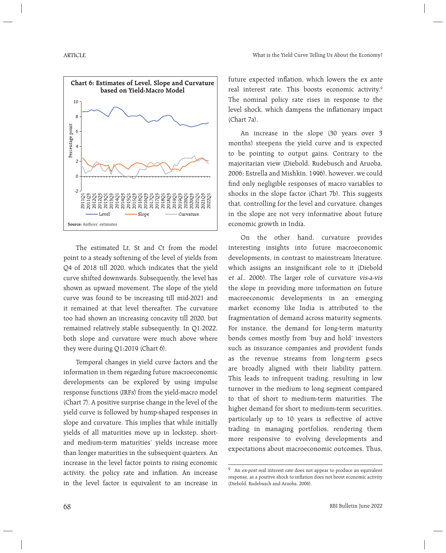

 The estimated Lt, St and Ct from the model point to a steady softening of the level of yields from Q4 of 2018 till 2020, which indicates that the yield curve shifted downwards. Subsequently, the level has shown as upward movement. The slope of the yield curve was found to be increasing till mid-2021 and it remained at that level thereafter. The curvature too had shown an increasing concavity till 2020, but remained relatively stable subsequently. In Q1:2022, both slope and curvature were much above where they were during Q1:2019 (Chart 6).

 Temporal changes in yield curve factors and the information in them regarding future macroeconomic developments can be explored by using impulse response functions (IRFs) from the yield-macro model (Chart 7). A positive surprise change in the level of the yield curve is followed by hump-shaped responses in slope and curvature. This implies that while initially yields of all maturities move up in lockstep, shortand medium-term maturities' yields increase more than longer maturities in the subsequent quarters. An increase in the level factor points to rising economic activity, the policy rate and inflation. An increase in the level factor is equivalent to an increase in future expected inflation, which lowers the ex ante real interest rate. This boosts economic activity.<sup>9</sup> The nominal policy rate rises in response to the level shock, which dampens the inflationary impact (Chart 7a).

 An increase in the slope (30 years over 3 months) steepens the yield curve and is expected to be pointing to output gains. Contrary to the majoritarian view (Diebold, Rudebusch and Aruoba, 2006; Estrella and Mishkin, 1996), however, we could find only negligible responses of macro variables to shocks in the slope factor (Chart 7b). This suggests that, controlling for the level and curvature, changes in the slope are not very informative about future economic growth in India.

On the other hand, curvature provides interesting insights into future macroeconomic developments, in contrast to mainstream literature, which assigns an insignificant role to it (Diebold et al., 2006). The larger role of curvature vis-a-vis the slope in providing more information on future macroeconomic developments in an emerging market economy like India is attributed to the fragmentation of demand across maturity segments. For instance, the demand for long-term maturity bonds comes mostly from 'buy and hold' investors such as insurance companies and provident funds as the revenue streams from long-term g-secs are broadly aligned with their liability pattern. This leads to infrequent trading, resulting in low turnover in the medium to long segment compared to that of short to medium-term maturities. The higher demand for short to medium-term securities, particularly up to 10 years is reflective of active trading in managing portfolios, rendering them more responsive to evolving developments and expectations about macroeconomic outcomes. Thus,

<sup>&</sup>lt;sup>9</sup> An ex-post real interest rate does not appear to produce an equivalent response, as a positive shock to inflation does not boost economic activity (Diebold, Rudebusch and Aruoba, 2006).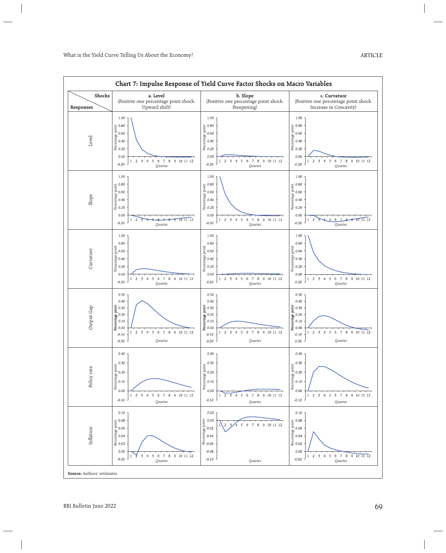| Chart 7: Impulse Response of Yield Curve Factor Shocks on Macro Variables |                                                                                                                                                                                                                                                                                           |                                                                                                                                                                                                                                  |                                                                                                                                                                                                                                                          |  |
|---------------------------------------------------------------------------|-------------------------------------------------------------------------------------------------------------------------------------------------------------------------------------------------------------------------------------------------------------------------------------------|----------------------------------------------------------------------------------------------------------------------------------------------------------------------------------------------------------------------------------|----------------------------------------------------------------------------------------------------------------------------------------------------------------------------------------------------------------------------------------------------------|--|
| Shocks<br>Responses                                                       | a. Level<br>(Positive one percentage point shock:<br>Upward shift)                                                                                                                                                                                                                        | b. Slope<br>(Positive one percentage point shock:<br>Steepening)                                                                                                                                                                 | c. Curvature<br>(Positive one percentage point shock:<br>Increase in Concavity)                                                                                                                                                                          |  |
| Level                                                                     | 1.00<br>10.80<br>10.80<br>20.60<br>20.40<br>20.20<br>0.00<br>$\overline{2}$<br>$\overline{\phantom{a}}$<br>$\overline{4}$<br>5<br>6<br>7 8<br>9 10 11 12<br>1<br>$-0.20$<br>Quarter                                                                                                       | 1.00<br>Percentage point<br>0.80<br>0.60<br>0.40<br>0.20<br>0.00<br>5 6<br>7 8 9 10 11 12<br>$\overline{2}$<br>$\overline{\mathbf{3}}$<br>$\overline{4}$<br>$-0.20$<br>Quarter                                                   | 1.00<br>Percentage point<br>0.80<br>0.60<br>0.40<br>0.20<br>0.00<br>$\overline{\phantom{a}}$<br>$\overline{5}$<br>6<br>7 8<br>9 10 11 12<br>$\overline{2}$<br>$\overline{4}$<br>$\mathbf{1}$<br>$-0.20$<br>Quarter                                       |  |
| Slope                                                                     | 1.00<br>$\frac{1}{2}$ 0.80<br>$\frac{1}{2}$ 0.60<br>$\frac{1}{2}$ 0.40<br>$\frac{1}{2}$ 0.20<br>0.00<br>1011112<br>2<br>1<br>q<br>$-0.20$<br>Quarter                                                                                                                                      | 1.00<br>0.80<br>$\frac{1}{2}$ 0.80<br>$\frac{1}{2}$ 0.60<br>$\frac{1}{2}$ 0.40<br>$\frac{1}{2}$ 0.20<br>0.00<br>$\overline{2}$<br>$\overline{\mathbf{3}}$<br>5<br>6<br>7 8<br>9 10 11 12<br>$\overline{4}$<br>$-0.20$<br>Quarter | 1.00<br>0.80<br>Percentage point<br>0.60<br>0.40<br>0.20<br>0.00<br>101112<br>$\overline{2}$<br>6<br>$\overline{7}$<br>$\overline{a}$<br>8<br>۰e<br>$-0.20$<br>Quarter                                                                                   |  |
| Curvature                                                                 | 1.00<br>0.80<br>Percentage point<br>0.60<br>0.70<br>0.20<br>0.00<br>$2 \t3 \t4 \t5$<br>6 7 8 9 10 11 12<br>1<br>$-0.20$<br>Quarter                                                                                                                                                        | 1.00<br>0.80<br>Percentage point<br>0.60<br>0.20<br>0.20<br>0.00<br>1 2 3 4 5 6 7 8 9 10 11 12<br>$-0.20$<br>Quarter                                                                                                             | 1.00<br>0.80<br>Percentage point<br>0.60<br>0.40<br>0.20<br>0.00<br>6 7 8 9 10 11 12<br>$1 \t2 \t3 \t4 \t5$<br>$-0.20$<br>Quarter                                                                                                                        |  |
| Output Gap                                                                | 0.50<br>0.40<br>$\begin{array}{l} \mathtt{to} \\ \mathtt{0.30} \\ 0.20 \\ \mathtt{we} \\ \mathtt{we} \\ 0.10 \\ \mathtt{A} \end{array}$<br>5<br>$\boldsymbol{6}$<br>$\overline{\mathcal{I}}$<br>$\,$ 8 $\,$<br>9 10 11 12<br>$2 \t3 \t4$<br>$\mathbf{1}$<br>$-0.10$<br>$-0.20$<br>Quarter | 0.50<br>0.40<br>Percentage point<br>0.30<br>0.20<br>0.10<br>0.00<br>$\sqrt{5}$<br>6<br>$\overline{J}$<br>$\,$ 8 $\,$<br>9 10 11 12<br>$1\quad 2$<br>$\overline{\mathbf{3}}$<br>$\overline{4}$<br>$-0.10$<br>$-0.20$<br>Quarter   | 0.50<br>0.40<br>Percentage point<br>0.30<br>0.20<br>0.10<br>0.00<br>$\overline{7}$<br>$\overline{5}$<br>$\boldsymbol{6}$<br>8 9 10 11 12<br>$\overline{2}$<br>$\overline{\mathbf{3}}$<br>$\overline{4}$<br>$\mathbf{1}$<br>$-0.10$<br>$-0.20$<br>Quarter |  |
| Policy rate                                                               | 0.40<br>0.30<br>$P = 0.30$<br>Percentage $P = 0.20$<br>Percentage $P = 0.30$<br>0.00<br>$1 \t2 \t3 \t4$<br>6<br>7 8 9 10 11 12<br>5<br>$-0.10$<br>Quarter                                                                                                                                 | 0.40<br>0.30<br>$\begin{bmatrix} 0.30 \\ 0.10 \\ 0.10 \\ 0.00 \end{bmatrix}$<br>0.00<br>78<br>9 10 11 12<br>$\overline{\phantom{a}}$<br>5 6<br>$\overline{2}$<br>$\overline{4}$<br>1<br>$-0.10$<br>Quarter                       | 0.40<br>0.30<br>Percentage point<br>0.20<br>0.10<br>0.00<br>$2 \t3 \t4$<br>5<br>7 8 9 10 11 12<br>6<br>$\mathbf{1}$<br>$-0.10$<br>Quarter                                                                                                                |  |
| Inflation                                                                 | 0.10<br>$\begin{array}{l} \underline{11} \\[-4pt] 0.08 \\[-4pt] 0.06 \\[-4pt] \underline{12} \\[-4pt] 0.02 \\[-4pt] \end{array}$<br>0.00<br>7 8 9 10 11 12<br>$\overline{\mathbf{3}}$<br>$\overline{4}$<br>5<br>6<br>$\mathbf{1}$<br>$-0.02$<br>Quarter                                   | 0.02<br>Percentage point<br>Percentage 0.02<br>D.004<br>D.006<br>0.00<br>9 10 11 12<br>$\,$ 8 $\,$<br>5<br>6<br>7<br>$-0.08$<br>$-0.10$<br>Quarter                                                                               | 0.10<br>0.08<br>Percentage point<br>0.06<br>0.04<br>0.02<br>0.00<br>$2 \t3 \t4 \t5$<br>$6 \t 7 \t 8$<br>9 10 11 12<br>$\mathbf{1}$<br>$-0.02$<br>Quarter                                                                                                 |  |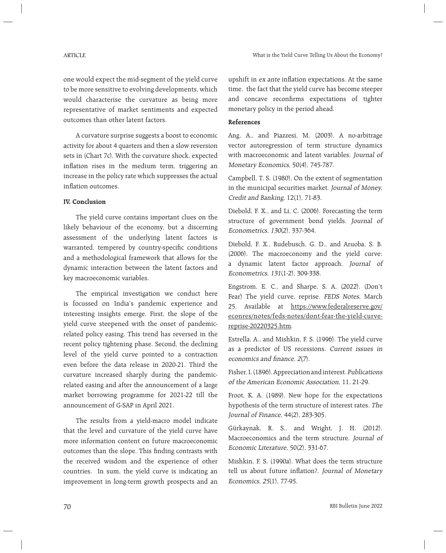one would expect the mid-segment of the yield curve to be more sensitive to evolving developments, which would characterise the curvature as being more representative of market sentiments and expected outcomes than other latent factors.

 A curvature surprise suggests a boost to economic activity for about 4 quarters and then a slow reversion sets in (Chart 7c). With the curvature shock, expected inflation rises in the medium term, triggering an increase in the policy rate which suppresses the actual inflation outcomes.

### **IV. Conclusion**

 The yield curve contains important clues on the likely behaviour of the economy, but a discerning assessment of the underlying latent factors is warranted, tempered by country-specific conditions and a methodological framework that allows for the dynamic interaction between the latent factors and key macroeconomic variables.

 The empirical investigation we conduct here is focussed on India's pandemic experience and interesting insights emerge. First, the slope of the yield curve steepened with the onset of pandemicrelated policy easing. This trend has reversed in the recent policy tightening phase. Second, the declining level of the yield curve pointed to a contraction even before the data release in 2020-21. Third the curvature increased sharply during the pandemicrelated easing and after the announcement of a large market borrowing programme for 2021-22 till the announcement of G-SAP in April 2021.

 The results from a yield-macro model indicate that the level and curvature of the yield curve have more information content on future macroeconomic outcomes than the slope. This finding contrasts with the received wisdom and the experience of other countries. In sum, the yield curve is indicating an improvement in long-term growth prospects and an

upshift in ex ante inflation expectations. At the same time, the fact that the yield curve has become steeper and concave reconfirms expectations of tighter monetary policy in the period ahead.

## **References**

Ang, A., and Piazzesi, M. (2003). A no-arbitrage vector autoregression of term structure dynamics with macroeconomic and latent variables. Journal of Monetary Economics, 50(4), 745-787.

Campbell, T. S. (1980). On the extent of segmentation in the municipal securities market. Journal of Money, Credit and Banking, 12(1), 71-83.

Diebold, F. X., and Li, C. (2006). Forecasting the term structure of government bond yields. Journal of Econometrics, 130(2), 337-364.

Diebold, F. X., Rudebusch, G. D., and Aruoba, S. B. (2006). The macroeconomy and the yield curve: a dynamic latent factor approach. Journal of Econometrics, 131(1-2), 309-338.

Engstrom, E. C., and Sharpe, S. A. (2022). (Don't Fear) The yield curve, reprise. FEDS Notes, March 25. Available at https://www.federalreserve.gov/ econres/notes/feds-notes/dont-fear-the-yield-curvereprise-20220325.htm.

Estrella, A., and Mishkin, F. S. (1996). The yield curve as a predictor of US recessions. Current issues in economics and finance,  $2(7)$ .

Fisher, I. (1896). Appreciation and interest. Publications of the American Economic Association, 11, 21-29.

Froot, K. A. (1989). New hope for the expectations hypothesis of the term structure of interest rates. The Journal of Finance, 44(2), 283-305.

Gürkaynak, R. S., and Wright, J. H. (2012). Macroeconomics and the term structure. Journal of Economic Literature, 50(2), 331-67.

Mishkin, F. S. (1990a). What does the term structure tell us about future inflation?. Journal of Monetary Economics, 25(1), 77-95.